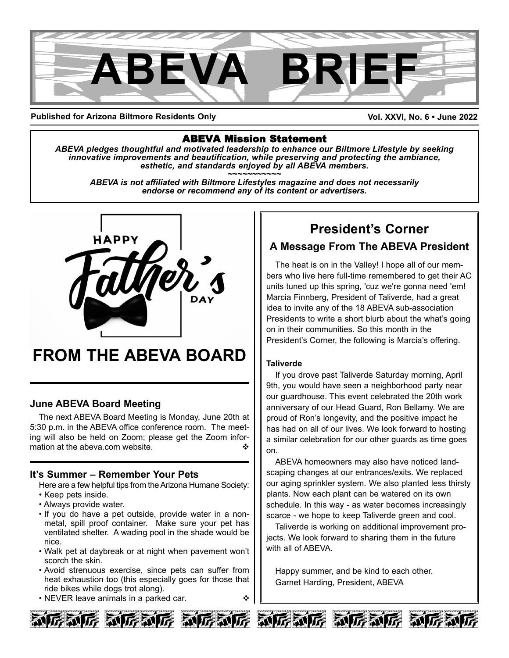

**Published for Arizona Biltmore Residents Only**

#### **Vol. XXVI, No. 6 • June 2022**

## ABEVA Mission Statement

*ABEVA pledges thoughtful and motivated leadership to enhance our Biltmore Lifestyle by seeking* innovative improvements and beautification, while preserving and protecting the ambiance,<br>esthetic, and standards enjoyed by all ABEVA members.<br>ABEVA is not affiliated with Biltmore Lifestyles magazine and does not necess

*endorse or recommend any of its content or advertisers.*



# **FROM THE ABEVA BOARD**

## **June ABEVA Board Meeting**

The next ABEVA Board Meeting is Monday, June 20th at 5:30 p.m. in the ABEVA office conference room. The meeting will also be held on Zoom; please get the Zoom information at the abeva.com website.

### **It's Summer – Remember Your Pets**

Here are a few helpful tips from the Arizona Humane Society: • Keep pets inside.

- Always provide water.
- If you do have a pet outside, provide water in a nonmetal, spill proof container. Make sure your pet has ventilated shelter. A wading pool in the shade would be nice.
- Walk pet at daybreak or at night when pavement won't scorch the skin.
- Avoid strenuous exercise, since pets can suffer from heat exhaustion too (this especially goes for those that ride bikes while dogs trot along).
- NEVER leave animals in a parked car.  $\bullet \bullet$



The heat is on in the Valley! I hope all of our members who live here full-time remembered to get their AC units tuned up this spring, 'cuz we're gonna need 'em! Marcia Finnberg, President of Taliverde, had a great idea to invite any of the 18 ABEVA sub-association Presidents to write a short blurb about the what's going on in their communities. So this month in the President's Corner, the following is Marcia's offering.

### **Taliverde**

If you drove past Taliverde Saturday morning, April 9th, you would have seen a neighborhood party near our guardhouse. This event celebrated the 20th work anniversary of our Head Guard, Ron Bellamy. We are proud of Ron's longevity, and the positive impact he has had on all of our lives. We look forward to hosting a similar celebration for our other guards as time goes on.

ABEVA homeowners may also have noticed landscaping changes at our entrances/exits. We replaced our aging sprinkler system. We also planted less thirsty plants. Now each plant can be watered on its own schedule. In this way - as water becomes increasingly scarce - we hope to keep Taliverde green and cool.

Taliverde is working on additional improvement projects. We look forward to sharing them in the future with all of ABEVA.

Happy summer, and be kind to each other. Garnet Harding, President, ABEVA





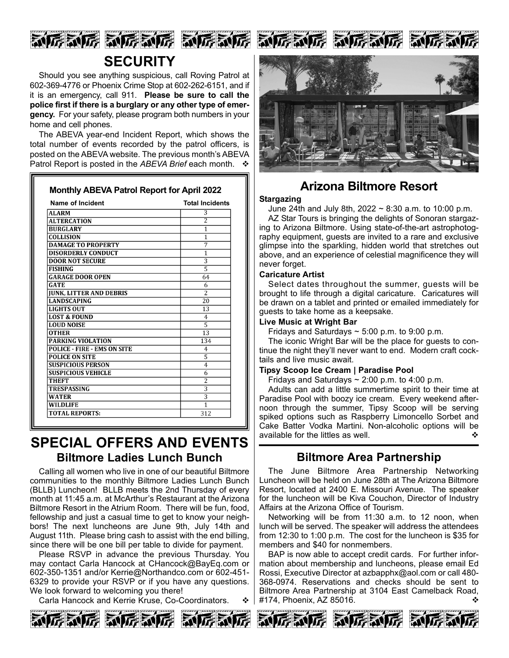

# **SECURITY**

Should you see anything suspicious, call Roving Patrol at 602-369-4776 or Phoenix Crime Stop at 602-262-6151, and if it is an emergency, call 911. **Please be sure to call the police first if there is a burglary or any other type of emergency.** For your safety, please program both numbers in your home and cell phones.

The ABEVA year-end Incident Report, which shows the total number of events recorded by the patrol officers, is posted on the ABEVA website. The previous month's ABEVA Patrol Report is posted in the *ABEVA Brief* each month.

| <b>Name of Incident</b>            | <b>Total Incidents</b>    |
|------------------------------------|---------------------------|
| <b>ALARM</b>                       | 3                         |
| <b>ALTERCATION</b>                 | 2                         |
| <b>BURGLARY</b>                    | $\overline{1}$            |
| COLLISION                          | 1                         |
| <b>DAMAGE TO PROPERTY</b>          | 7                         |
| <b>DISORDERLY CONDUCT</b>          | 1                         |
| <b>DOOR NOT SECURE</b>             | $\overline{3}$            |
| <b>FISHING</b>                     | 5                         |
| <b>GARAGE DOOR OPEN</b>            | 64                        |
| <b>GATE</b>                        | 6                         |
| <b>JUNK, LITTER AND DEBRIS</b>     | $\overline{2}$            |
| <b>LANDSCAPING</b>                 | 20                        |
| <b>LIGHTS OUT</b>                  | 13                        |
| <b>LOST &amp; FOUND</b>            | $\overline{4}$            |
| <b>LOUD NOISE</b>                  | $\overline{5}$            |
| <b>OTHER</b>                       | 13                        |
| <b>PARKING VIOLATION</b>           | 134                       |
| <b>POLICE - FIRE - EMS ON SITE</b> | 4                         |
| <b>POLICE ON SITE</b>              | 5                         |
| <b>SUSPICIOUS PERSON</b>           | 4                         |
| <b>SUSPICIOUS VEHICLE</b>          | 6                         |
| <b>THEFT</b>                       | $\overline{2}$            |
| <b>TRESPASSING</b>                 | $\overline{\overline{3}}$ |
| <b>WATER</b>                       | $\overline{\mathbf{3}}$   |
| <b>WILDLIFE</b>                    | $\overline{1}$            |
| <b>TOTAL REPORTS:</b>              | 312                       |

# **SPECIAL OFFERS AND EVENTS Biltmore Ladies Lunch Bunch**

Calling all women who live in one of our beautiful Biltmore communities to the monthly Biltmore Ladies Lunch Bunch (BLLB) Luncheon! BLLB meets the 2nd Thursday of every month at 11:45 a.m. at McArthur's Restaurant at the Arizona Biltmore Resort in the Atrium Room. There will be fun, food, fellowship and just a casual time to get to know your neighbors! The next luncheons are June 9th, July 14th and August 11th. Please bring cash to assist with the end billing, since there will be one bill per table to divide for payment.

Please RSVP in advance the previous Thursday. You may contact Carla Hancock at CHancock@BayEq.com or 602-350-1351 and/or Kerrie@Northandco.com or 602-451- 6329 to provide your RSVP or if you have any questions. We look forward to welcoming you there!

Carla Hancock and Kerrie Kruse, Co-Coordinators.  $\cdot \cdot \cdot$ 



动房动房 动房动房 家

June 24th and July 8th, 2022 ~ 8:30 a.m. to 10:00 p.m.

AZ Star Tours is bringing the delights of Sonoran stargazing to Arizona Biltmore. Using state-of-the-art astrophotography equipment, guests are invited to a rare and exclusive glimpse into the sparkling, hidden world that stretches out above, and an experience of celestial magnificence they will never forget.

#### **Caricature Artist**

Select dates throughout the summer, guests will be brought to life through a digital caricature. Caricatures will be drawn on a tablet and printed or emailed immediately for guests to take home as a keepsake.

#### **Live Music at Wright Bar**

Fridays and Saturdays  $\sim$  5:00 p.m. to 9:00 p.m.

The iconic Wright Bar will be the place for guests to continue the night they'll never want to end. Modern craft cocktails and live music await.

#### **Tipsy Scoop Ice Cream | Paradise Pool**

Fridays and Saturdays  $\sim$  2:00 p.m. to 4:00 p.m.

Adults can add a little summertime spirit to their time at Paradise Pool with boozy ice cream. Every weekend afternoon through the summer, Tipsy Scoop will be serving spiked options such as Raspberry Limoncello Sorbet and Cake Batter Vodka Martini. Non-alcoholic options will be available for the littles as well.  $\Diamond$ 

# **Biltmore Area Partnership**

The June Biltmore Area Partnership Networking Luncheon will be held on June 28th at The Arizona Biltmore Resort, located at 2400 E. Missouri Avenue. The speaker for the luncheon will be Kiva Couchon, Director of Industry Affairs at the Arizona Office of Tourism.

Networking will be from 11:30 a.m. to 12 noon, when lunch will be served. The speaker will address the attendees from 12:30 to 1:00 p.m. The cost for the luncheon is \$35 for members and \$40 for nonmembers.

BAP is now able to accept credit cards. For further information about membership and luncheons, please email Ed Rossi, Executive Director at azbapphx@aol.com or call 480- 368-0974. Reservations and checks should be sent to Biltmore Area Partnership at 3104 East Camelback Road, #174, Phoenix, AZ 85016. v











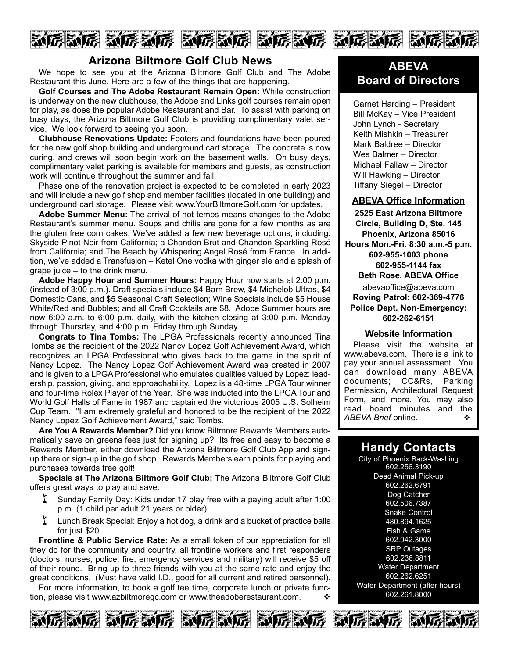

## **Arizona Biltmore Golf Club News**

We hope to see you at the Arizona Biltmore Golf Club and The Adobe Restaurant this June. Here are a few of the things that are happening.

**Golf Courses and The Adobe Restaurant Remain Open:** While construction is underway on the new clubhouse, the Adobe and Links golf courses remain open for play, as does the popular Adobe Restaurant and Bar. To assist with parking on busy days, the Arizona Biltmore Golf Club is providing complimentary valet service. We look forward to seeing you soon.

**Clubhouse Renovations Update:** Footers and foundations have been poured for the new golf shop building and underground cart storage. The concrete is now curing, and crews will soon begin work on the basement walls. On busy days, complimentary valet parking is available for members and guests, as construction work will continue throughout the summer and fall.

Phase one of the renovation project is expected to be completed in early 2023 and will include a new golf shop and member facilities (located in one building) and underground cart storage. Please visit www.YourBiltmoreGolf.com for updates.

**Adobe Summer Menu:** The arrival of hot temps means changes to the Adobe Restaurant's summer menu. Soups and chilis are gone for a few months as are the gluten free corn cakes. We've added a few new beverage options, including: Skyside Pinot Noir from California; a Chandon Brut and Chandon Sparkling Rosé from California; and The Beach by Whispering Angel Rosé from France. In addition, we've added a Transfusion – Ketel One vodka with ginger ale and a splash of grape juice – to the drink menu.

**Adobe Happy Hour and Summer Hours:** Happy Hour now starts at 2:00 p.m. (instead of 3:00 p.m.). Draft specials include \$4 Barn Brew, \$4 Michelob Ultras, \$4 Domestic Cans, and \$5 Seasonal Craft Selection; Wine Specials include \$5 House White/Red and Bubbles; and all Craft Cocktails are \$8. Adobe Summer hours are now 6:00 a.m. to 6:00 p.m. daily, with the kitchen closing at 3:00 p.m. Monday through Thursday, and 4:00 p.m. Friday through Sunday.

**Congrats to Tina Tombs:** The LPGA Professionals recently announced Tina Tombs as the recipient of the 2022 Nancy Lopez Golf Achievement Award, which recognizes an LPGA Professional who gives back to the game in the spirit of Nancy Lopez. The Nancy Lopez Golf Achievement Award was created in 2007 and is given to a LPGA Professional who emulates qualities valued by Lopez: leadership, passion, giving, and approachability. Lopez is a 48-time LPGA Tour winner and four-time Rolex Player of the Year. She was inducted into the LPGA Tour and World Golf Halls of Fame in 1987 and captained the victorious 2005 U.S. Solheim Cup Team. "I am extremely grateful and honored to be the recipient of the 2022 Nancy Lopez Golf Achievement Award," said Tombs.

**Are You A Rewards Member?** Did you know Biltmore Rewards Members automatically save on greens fees just for signing up? Its free and easy to become a Rewards Member, either download the Arizona Biltmore Golf Club App and signup there or sign-up in the golf shop. Rewards Members earn points for playing and purchases towards free golf!

**Specials at The Arizona Biltmore Golf Club:** The Arizona Biltmore Golf Club offers great ways to play and save:

- Sunday Family Day: Kids under 17 play free with a paying adult after 1:00 p.m. (1 child per adult 21 years or older).
- $\zeta$  Lunch Break Special: Enjoy a hot dog, a drink and a bucket of practice balls for just \$20.

**Frontline & Public Service Rate:** As a small token of our appreciation for all they do for the community and country, all frontline workers and first responders (doctors, nurses, police, fire, emergency services and military) will receive \$5 off of their round. Bring up to three friends with you at the same rate and enjoy the great conditions. (Must have valid I.D., good for all current and retired personnel).

For more information, to book a golf tee time, corporate lunch or private function, please visit www.azbiltmoregc.com or www.theadoberestaurant.com.











Garnet Harding – President Bill McKay – Vice President John Lynch - Secretary Keith Mishkin – Treasurer Mark Baldree – Director Wes Balmer – Director Michael Fallaw – Director Will Hawking – Director Tiffany Siegel – Director

#### **ABEVA Office Information**

**2525 East Arizona Biltmore Circle, Building D, Ste. 145 Phoenix, Arizona 85016 Hours Mon.-Fri. 8:30 a.m.-5 p.m. 602-955-1003 phone 602-955-1144 fax Beth Rose, ABEVA Office** abevaoffice@abeva.com **Roving Patrol: 602-369-4776 Police Dept. Non-Emergency: 602-262-6151**

#### **Website Information**

Please visit the website at www.abeva.com. There is a link to pay your annual assessment. You can download many ABEVA documents; CC&Rs, Parking Permission, Architectural Request Form, and more. You may also read board minutes and the **ABEVA Brief online.**  $\bullet$ 

## **Handy Contacts**

City of Phoenix Back-Washing 602.256.3190 Dead Animal Pick-up 602.262.6791 Dog Catcher 602.506.7387 Snake Control 480.894.1625 Fish & Game 602.942.3000 **SRP** Outages 602.236.8811 Water Department 602.262.6251 Water Department (after hours) 602.261.8000